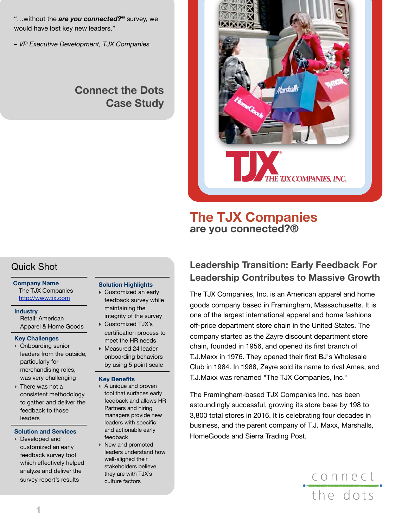"…without the *are you connected?®* survey, we would have lost key new leaders."

*– VP Executive Development, TJX Companies*

# **Connect the Dots Case Study**



# **The TJX Companies are you connected?®**

## Quick Shot

#### **Company Name** The TJX Companies <http://www.tjx.com>

**Industry** Retail: American Apparel & Home Goods

#### **Key Challenges**

- ‣ Onboarding senior leaders from the outside, particularly for merchandising roles, was very challenging
- ‣ There was not a consistent methodology to gather and deliver the feedback to those leaders

#### **Solution and Services**

‣ Developed and customized an early feedback survey tool which effectively helped analyze and deliver the survey report's results

#### **Solution Highlights**

- ‣ Customized an early feedback survey while maintaining the integrity of the survey
- ‣ Customized TJX's certification process to meet the HR needs ‣ Measured 24 leader
- onboarding behaviors by using 5 point scale

#### **Key Benefits**

- ‣ A unique and proven tool that surfaces early feedback and allows HR Partners and hiring managers provide new leaders with specific and actionable early feedback
- ‣ New and promoted leaders understand how well-aligned their stakeholders believe they are with TJX's culture factors

# **Leadership Transition: Early Feedback For Leadership Contributes to Massive Growth**

The TJX Companies, Inc. is an American apparel and home goods company based in Framingham, Massachusetts. It is one of the largest international apparel and home fashions off-price department store chain in the United States. The company started as the Zayre discount department store chain, founded in 1956, and opened its first branch of T.J.Maxx in 1976. They opened their first BJ's Wholesale Club in 1984. In 1988, Zayre sold its name to rival Ames, and T.J.Maxx was renamed "The TJX Companies, Inc."

The Framingham-based TJX Companies Inc. has been astoundingly successful, growing its store base by 198 to 3,800 total stores in 2016. It is celebrating four decades in business, and the parent company of T.J. Maxx, Marshalls, HomeGoods and Sierra Trading Post.

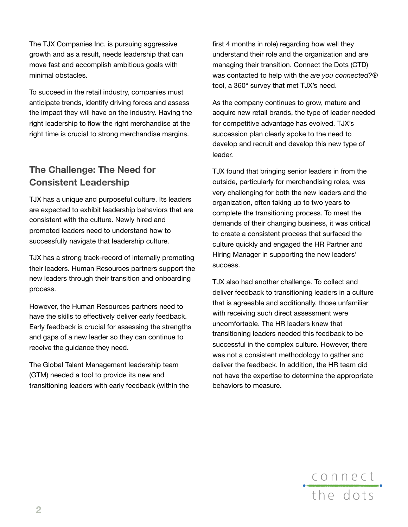The TJX Companies Inc. is pursuing aggressive growth and as a result, needs leadership that can move fast and accomplish ambitious goals with minimal obstacles.

To succeed in the retail industry, companies must anticipate trends, identify driving forces and assess the impact they will have on the industry. Having the right leadership to flow the right merchandise at the right time is crucial to strong merchandise margins.

### **The Challenge: The Need for Consistent Leadership**

TJX has a unique and purposeful culture. Its leaders are expected to exhibit leadership behaviors that are consistent with the culture. Newly hired and promoted leaders need to understand how to successfully navigate that leadership culture.

TJX has a strong track-record of internally promoting their leaders. Human Resources partners support the new leaders through their transition and onboarding process.

However, the Human Resources partners need to have the skills to effectively deliver early feedback. Early feedback is crucial for assessing the strengths and gaps of a new leader so they can continue to receive the guidance they need.

The Global Talent Management leadership team (GTM) needed a tool to provide its new and transitioning leaders with early feedback (within the first 4 months in role) regarding how well they understand their role and the organization and are managing their transition. Connect the Dots (CTD) was contacted to help with the *are you connected?®* tool, a 360° survey that met TJX's need.

As the company continues to grow, mature and acquire new retail brands, the type of leader needed for competitive advantage has evolved. TJX's succession plan clearly spoke to the need to develop and recruit and develop this new type of leader.

TJX found that bringing senior leaders in from the outside, particularly for merchandising roles, was very challenging for both the new leaders and the organization, often taking up to two years to complete the transitioning process. To meet the demands of their changing business, it was critical to create a consistent process that surfaced the culture quickly and engaged the HR Partner and Hiring Manager in supporting the new leaders' success.

TJX also had another challenge. To collect and deliver feedback to transitioning leaders in a culture that is agreeable and additionally, those unfamiliar with receiving such direct assessment were uncomfortable. The HR leaders knew that transitioning leaders needed this feedback to be successful in the complex culture. However, there was not a consistent methodology to gather and deliver the feedback. In addition, the HR team did not have the expertise to determine the appropriate behaviors to measure.